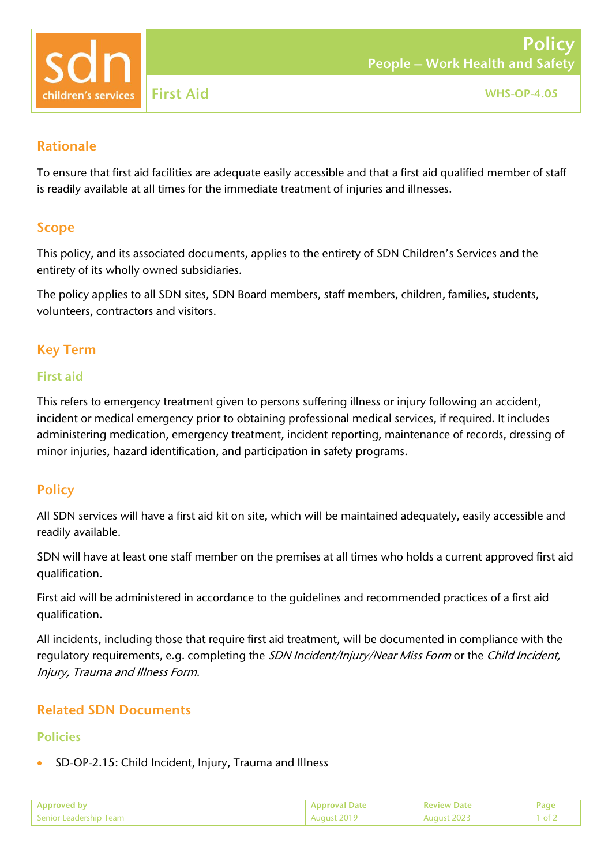

### Rationale

To ensure that first aid facilities are adequate easily accessible and that a first aid qualified member of staff is readily available at all times for the immediate treatment of injuries and illnesses.

## Scope

This policy, and its associated documents, applies to the entirety of SDN Children's Services and the entirety of its wholly owned subsidiaries.

The policy applies to all SDN sites, SDN Board members, staff members, children, families, students, volunteers, contractors and visitors.

# Key Term

#### First aid

This refers to emergency treatment given to persons suffering illness or injury following an accident, incident or medical emergency prior to obtaining professional medical services, if required. It includes administering medication, emergency treatment, incident reporting, maintenance of records, dressing of minor injuries, hazard identification, and participation in safety programs.

## **Policy**

All SDN services will have a first aid kit on site, which will be maintained adequately, easily accessible and readily available.

SDN will have at least one staff member on the premises at all times who holds a current approved first aid qualification.

First aid will be administered in accordance to the guidelines and recommended practices of a first aid qualification.

All incidents, including those that require first aid treatment, will be documented in compliance with the regulatory requirements, e.g. completing the SDN Incident/Injury/Near Miss Form or the Child Incident, Injury, Trauma and Illness Form.

## Related SDN Documents

### Policies

• SD-OP-2.15: Child Incident, Injury, Trauma and Illness

| Approved by            | . Approval Date l | <b>Review Date</b> |  |
|------------------------|-------------------|--------------------|--|
| Senior Leadership Team | August 2019       | August 2023        |  |